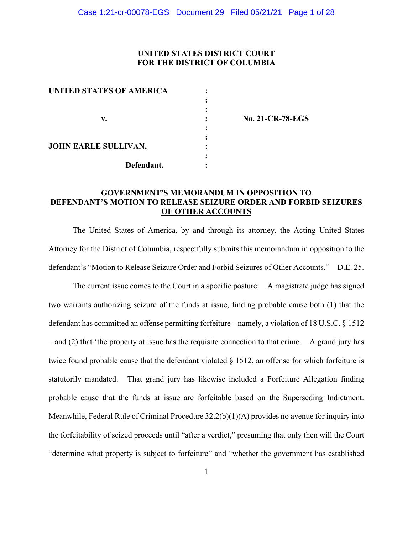### **UNITED STATES DISTRICT COURT FOR THE DISTRICT OF COLUMBIA**

| <b>UNITED STATES OF AMERICA</b> |  |
|---------------------------------|--|
|                                 |  |
|                                 |  |
| v.                              |  |
|                                 |  |
|                                 |  |
| <b>JOHN EARLE SULLIVAN,</b>     |  |
|                                 |  |
| Defendant.                      |  |

 **v. : No. 21-CR-78-EGS**

### **GOVERNMENT'S MEMORANDUM IN OPPOSITION TO DEFENDANT'S MOTION TO RELEASE SEIZURE ORDER AND FORBID SEIZURES OF OTHER ACCOUNTS**

The United States of America, by and through its attorney, the Acting United States Attorney for the District of Columbia, respectfully submits this memorandum in opposition to the defendant's "Motion to Release Seizure Order and Forbid Seizures of Other Accounts." D.E. 25.

The current issue comes to the Court in a specific posture: A magistrate judge has signed two warrants authorizing seizure of the funds at issue, finding probable cause both (1) that the defendant has committed an offense permitting forfeiture – namely, a violation of 18 U.S.C. § 1512 – and (2) that 'the property at issue has the requisite connection to that crime. A grand jury has twice found probable cause that the defendant violated § 1512, an offense for which forfeiture is statutorily mandated. That grand jury has likewise included a Forfeiture Allegation finding probable cause that the funds at issue are forfeitable based on the Superseding Indictment. Meanwhile, Federal Rule of Criminal Procedure  $32.2(b)(1)(A)$  provides no avenue for inquiry into the forfeitability of seized proceeds until "after a verdict," presuming that only then will the Court "determine what property is subject to forfeiture" and "whether the government has established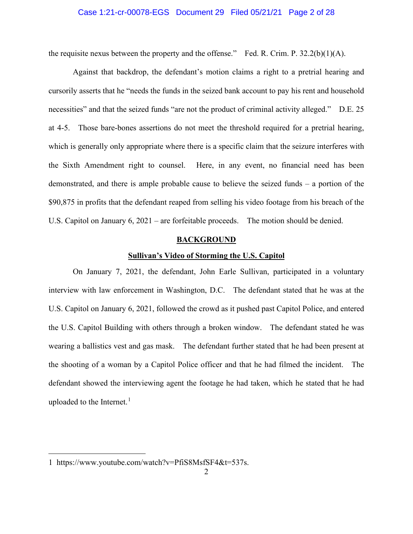### Case 1:21-cr-00078-EGS Document 29 Filed 05/21/21 Page 2 of 28

the requisite nexus between the property and the offense." Fed. R. Crim. P.  $32.2(b)(1)(A)$ .

Against that backdrop, the defendant's motion claims a right to a pretrial hearing and cursorily asserts that he "needs the funds in the seized bank account to pay his rent and household necessities" and that the seized funds "are not the product of criminal activity alleged." D.E. 25 at 4-5. Those bare-bones assertions do not meet the threshold required for a pretrial hearing, which is generally only appropriate where there is a specific claim that the seizure interferes with the Sixth Amendment right to counsel. Here, in any event, no financial need has been demonstrated, and there is ample probable cause to believe the seized funds – a portion of the \$90,875 in profits that the defendant reaped from selling his video footage from his breach of the U.S. Capitol on January 6, 2021 – are forfeitable proceeds. The motion should be denied.

#### **BACKGROUND**

### **Sullivan's Video of Storming the U.S. Capitol**

On January 7, 2021, the defendant, John Earle Sullivan, participated in a voluntary interview with law enforcement in Washington, D.C. The defendant stated that he was at the U.S. Capitol on January 6, 2021, followed the crowd as it pushed past Capitol Police, and entered the U.S. Capitol Building with others through a broken window. The defendant stated he was wearing a ballistics vest and gas mask. The defendant further stated that he had been present at the shooting of a woman by a Capitol Police officer and that he had filmed the incident. The defendant showed the interviewing agent the footage he had taken, which he stated that he had uploaded to the Internet. $<sup>1</sup>$  $<sup>1</sup>$  $<sup>1</sup>$ </sup>

<span id="page-1-0"></span><sup>1</sup> https://www.youtube.com/watch?v=PfiS8MsfSF4&t=537s.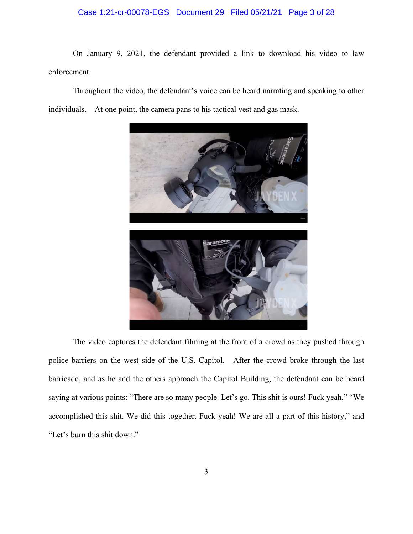# Case 1:21-cr-00078-EGS Document 29 Filed 05/21/21 Page 3 of 28

On January 9, 2021, the defendant provided a link to download his video to law enforcement.

Throughout the video, the defendant's voice can be heard narrating and speaking to other individuals. At one point, the camera pans to his tactical vest and gas mask.



The video captures the defendant filming at the front of a crowd as they pushed through police barriers on the west side of the U.S. Capitol. After the crowd broke through the last barricade, and as he and the others approach the Capitol Building, the defendant can be heard saying at various points: "There are so many people. Let's go. This shit is ours! Fuck yeah," "We accomplished this shit. We did this together. Fuck yeah! We are all a part of this history," and "Let's burn this shit down."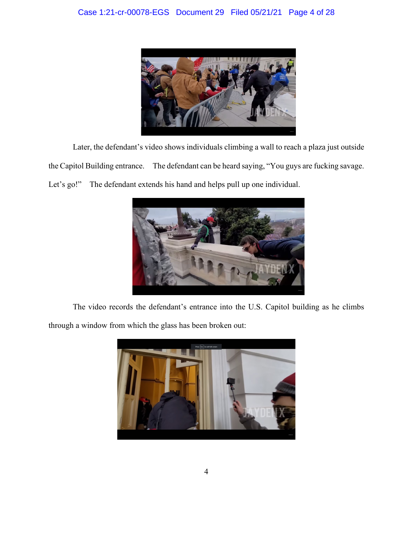

Later, the defendant's video shows individuals climbing a wall to reach a plaza just outside the Capitol Building entrance. The defendant can be heard saying, "You guys are fucking savage. Let's go!" The defendant extends his hand and helps pull up one individual.



The video records the defendant's entrance into the U.S. Capitol building as he climbs

through a window from which the glass has been broken out:

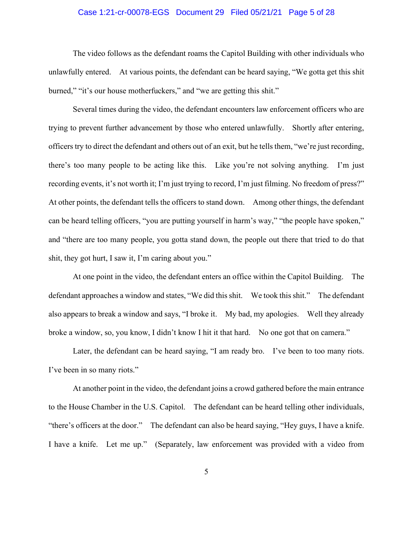### Case 1:21-cr-00078-EGS Document 29 Filed 05/21/21 Page 5 of 28

The video follows as the defendant roams the Capitol Building with other individuals who unlawfully entered. At various points, the defendant can be heard saying, "We gotta get this shit burned," "it's our house motherfuckers," and "we are getting this shit."

Several times during the video, the defendant encounters law enforcement officers who are trying to prevent further advancement by those who entered unlawfully. Shortly after entering, officers try to direct the defendant and others out of an exit, but he tells them, "we're just recording, there's too many people to be acting like this. Like you're not solving anything. I'm just recording events, it's not worth it; I'm just trying to record, I'm just filming. No freedom of press?" At other points, the defendant tells the officers to stand down. Among other things, the defendant can be heard telling officers, "you are putting yourself in harm's way," "the people have spoken," and "there are too many people, you gotta stand down, the people out there that tried to do that shit, they got hurt, I saw it, I'm caring about you."

At one point in the video, the defendant enters an office within the Capitol Building. The defendant approaches a window and states, "We did this shit. We took this shit." The defendant also appears to break a window and says, "I broke it. My bad, my apologies. Well they already broke a window, so, you know, I didn't know I hit it that hard. No one got that on camera."

Later, the defendant can be heard saying, "I am ready bro. I've been to too many riots. I've been in so many riots."

At another point in the video, the defendant joins a crowd gathered before the main entrance to the House Chamber in the U.S. Capitol. The defendant can be heard telling other individuals, "there's officers at the door." The defendant can also be heard saying, "Hey guys, I have a knife. I have a knife. Let me up." (Separately, law enforcement was provided with a video from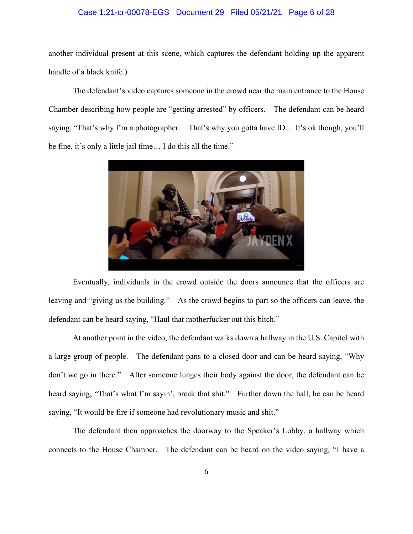# Case 1:21-cr-00078-EGS Document 29 Filed 05/21/21 Page 6 of 28

another individual present at this scene, which captures the defendant holding up the apparent handle of a black knife.)

The defendant's video captures someone in the crowd near the main entrance to the House Chamber describing how people are "getting arrested" by officers. The defendant can be heard saying, "That's why I'm a photographer. That's why you gotta have ID… It's ok though, you'll be fine, it's only a little jail time… I do this all the time."



Eventually, individuals in the crowd outside the doors announce that the officers are leaving and "giving us the building." As the crowd begins to part so the officers can leave, the defendant can be heard saying, "Haul that motherfucker out this bitch."

At another point in the video, the defendant walks down a hallway in the U.S. Capitol with a large group of people. The defendant pans to a closed door and can be heard saying, "Why don't we go in there." After someone lunges their body against the door, the defendant can be heard saying, "That's what I'm sayin', break that shit." Further down the hall, he can be heard saying, "It would be fire if someone had revolutionary music and shit."

The defendant then approaches the doorway to the Speaker's Lobby, a hallway which connects to the House Chamber. The defendant can be heard on the video saying, "I have a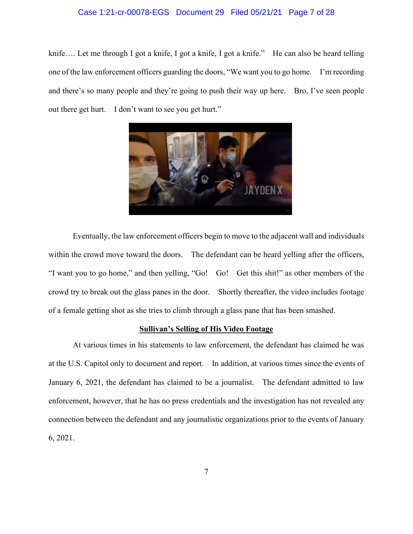### Case 1:21-cr-00078-EGS Document 29 Filed 05/21/21 Page 7 of 28

knife.... Let me through I got a knife, I got a knife, I got a knife." He can also be heard telling one of the law enforcement officers guarding the doors, "We want you to go home. I'm recording and there's so many people and they're going to push their way up here. Bro, I've seen people out there get hurt. I don't want to see you get hurt."



Eventually, the law enforcement officers begin to move to the adjacent wall and individuals within the crowd move toward the doors. The defendant can be heard yelling after the officers, "I want you to go home," and then yelling, "Go! Go! Get this shit!" as other members of the crowd try to break out the glass panes in the door. Shortly thereafter, the video includes footage of a female getting shot as she tries to climb through a glass pane that has been smashed.

#### **Sullivan's Selling of His Video Footage**

At various times in his statements to law enforcement, the defendant has claimed he was at the U.S. Capitol only to document and report. In addition, at various times since the events of January 6, 2021, the defendant has claimed to be a journalist. The defendant admitted to law enforcement, however, that he has no press credentials and the investigation has not revealed any connection between the defendant and any journalistic organizations prior to the events of January 6, 2021.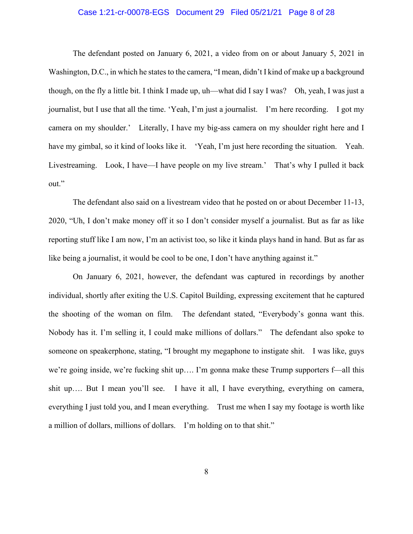### Case 1:21-cr-00078-EGS Document 29 Filed 05/21/21 Page 8 of 28

The defendant posted on January 6, 2021, a video from on or about January 5, 2021 in Washington, D.C., in which he states to the camera, "I mean, didn't I kind of make up a background though, on the fly a little bit. I think I made up, uh—what did I say I was? Oh, yeah, I was just a journalist, but I use that all the time. 'Yeah, I'm just a journalist. I'm here recording. I got my camera on my shoulder.' Literally, I have my big-ass camera on my shoulder right here and I have my gimbal, so it kind of looks like it. 'Yeah, I'm just here recording the situation. Yeah. Livestreaming. Look, I have—I have people on my live stream.' That's why I pulled it back out."

The defendant also said on a livestream video that he posted on or about December 11-13, 2020, "Uh, I don't make money off it so I don't consider myself a journalist. But as far as like reporting stuff like I am now, I'm an activist too, so like it kinda plays hand in hand. But as far as like being a journalist, it would be cool to be one, I don't have anything against it."

On January 6, 2021, however, the defendant was captured in recordings by another individual, shortly after exiting the U.S. Capitol Building, expressing excitement that he captured the shooting of the woman on film. The defendant stated, "Everybody's gonna want this. Nobody has it. I'm selling it, I could make millions of dollars." The defendant also spoke to someone on speakerphone, stating, "I brought my megaphone to instigate shit. I was like, guys we're going inside, we're fucking shit up…. I'm gonna make these Trump supporters f—all this shit up.... But I mean you'll see. I have it all, I have everything, everything on camera, everything I just told you, and I mean everything. Trust me when I say my footage is worth like a million of dollars, millions of dollars. I'm holding on to that shit."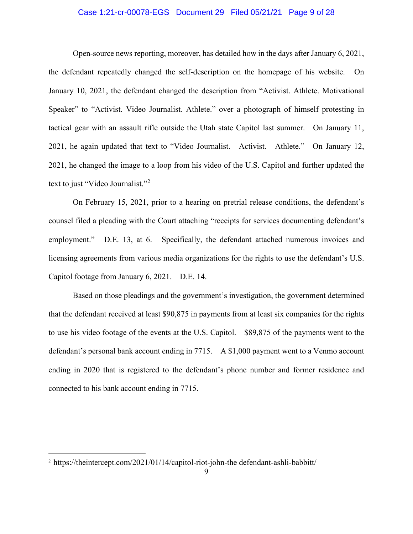### Case 1:21-cr-00078-EGS Document 29 Filed 05/21/21 Page 9 of 28

Open-source news reporting, moreover, has detailed how in the days after January 6, 2021, the defendant repeatedly changed the self-description on the homepage of his website. On January 10, 2021, the defendant changed the description from "Activist. Athlete. Motivational Speaker" to "Activist. Video Journalist. Athlete." over a photograph of himself protesting in tactical gear with an assault rifle outside the Utah state Capitol last summer. On January 11, 2021, he again updated that text to "Video Journalist. Activist. Athlete." On January 12, 2021, he changed the image to a loop from his video of the U.S. Capitol and further updated the text to just "Video Journalist."<sup>[2](#page-8-0)</sup>

On February 15, 2021, prior to a hearing on pretrial release conditions, the defendant's counsel filed a pleading with the Court attaching "receipts for services documenting defendant's employment." D.E. 13, at 6. Specifically, the defendant attached numerous invoices and licensing agreements from various media organizations for the rights to use the defendant's U.S. Capitol footage from January 6, 2021. D.E. 14.

Based on those pleadings and the government's investigation, the government determined that the defendant received at least \$90,875 in payments from at least six companies for the rights to use his video footage of the events at the U.S. Capitol. \$89,875 of the payments went to the defendant's personal bank account ending in 7715. A \$1,000 payment went to a Venmo account ending in 2020 that is registered to the defendant's phone number and former residence and connected to his bank account ending in 7715.

<span id="page-8-0"></span><sup>&</sup>lt;sup>2</sup> https://theintercept.com/2021/01/14/capitol-riot-john-the defendant-ashli-babbitt/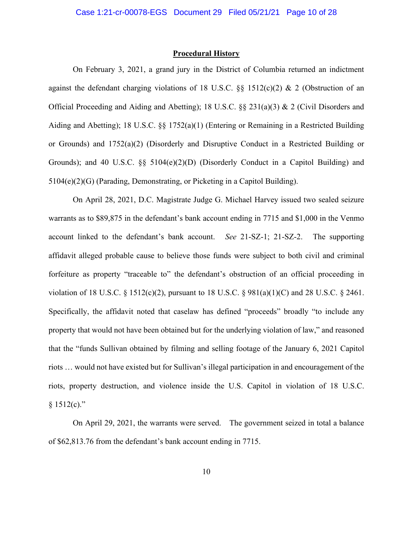#### **Procedural History**

On February 3, 2021, a grand jury in the District of Columbia returned an indictment against the defendant charging violations of 18 U.S.C.  $\S$ § 1512(c)(2) & 2 (Obstruction of an Official Proceeding and Aiding and Abetting); 18 U.S.C. §§ 231(a)(3) & 2 (Civil Disorders and Aiding and Abetting); 18 U.S.C. §§ 1752(a)(1) (Entering or Remaining in a Restricted Building or Grounds) and 1752(a)(2) (Disorderly and Disruptive Conduct in a Restricted Building or Grounds); and 40 U.S.C.  $\S$  5  $104(e)(2)(D)$  (Disorderly Conduct in a Capitol Building) and 5104(e)(2)(G) (Parading, Demonstrating, or Picketing in a Capitol Building).

On April 28, 2021, D.C. Magistrate Judge G. Michael Harvey issued two sealed seizure warrants as to \$89,875 in the defendant's bank account ending in 7715 and \$1,000 in the Venmo account linked to the defendant's bank account. *See* 21-SZ-1; 21-SZ-2. The supporting affidavit alleged probable cause to believe those funds were subject to both civil and criminal forfeiture as property "traceable to" the defendant's obstruction of an official proceeding in violation of 18 U.S.C. § 1512(c)(2), pursuant to 18 U.S.C. § 981(a)(1)(C) and 28 U.S.C. § 2461. Specifically, the affidavit noted that caselaw has defined "proceeds" broadly "to include any property that would not have been obtained but for the underlying violation of law," and reasoned that the "funds Sullivan obtained by filming and selling footage of the January 6, 2021 Capitol riots … would not have existed but for Sullivan's illegal participation in and encouragement of the riots, property destruction, and violence inside the U.S. Capitol in violation of 18 U.S.C.  $§ 1512(c)."$ 

On April 29, 2021, the warrants were served. The government seized in total a balance of \$62,813.76 from the defendant's bank account ending in 7715.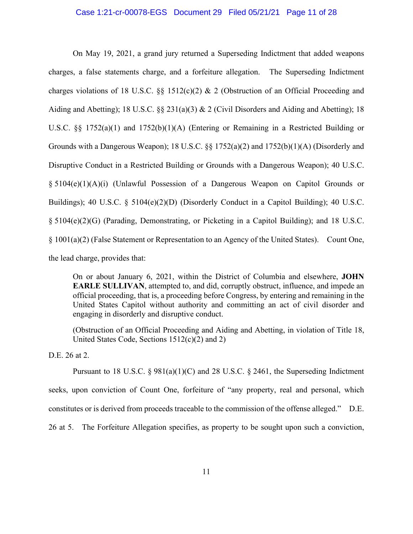### Case 1:21-cr-00078-EGS Document 29 Filed 05/21/21 Page 11 of 28

On May 19, 2021, a grand jury returned a Superseding Indictment that added weapons charges, a false statements charge, and a forfeiture allegation. The Superseding Indictment charges violations of 18 U.S.C.  $\S$  1512(c)(2) & 2 (Obstruction of an Official Proceeding and Aiding and Abetting); 18 U.S.C. §§ 231(a)(3) & 2 (Civil Disorders and Aiding and Abetting); 18 U.S.C. §§ 1752(a)(1) and 1752(b)(1)(A) (Entering or Remaining in a Restricted Building or Grounds with a Dangerous Weapon); 18 U.S.C. §§ 1752(a)(2) and 1752(b)(1)(A) (Disorderly and Disruptive Conduct in a Restricted Building or Grounds with a Dangerous Weapon); 40 U.S.C. § 5104(e)(1)(A)(i) (Unlawful Possession of a Dangerous Weapon on Capitol Grounds or Buildings); 40 U.S.C. § 5104(e)(2)(D) (Disorderly Conduct in a Capitol Building); 40 U.S.C. § 5104(e)(2)(G) (Parading, Demonstrating, or Picketing in a Capitol Building); and 18 U.S.C. § 1001(a)(2) (False Statement or Representation to an Agency of the United States). Count One, the lead charge, provides that:

On or about January 6, 2021, within the District of Columbia and elsewhere, **JOHN EARLE SULLIVAN**, attempted to, and did, corruptly obstruct, influence, and impede an official proceeding, that is, a proceeding before Congress, by entering and remaining in the United States Capitol without authority and committing an act of civil disorder and engaging in disorderly and disruptive conduct.

(Obstruction of an Official Proceeding and Aiding and Abetting, in violation of Title 18, United States Code, Sections 1512(c)(2) and 2)

D.E. 26 at 2.

Pursuant to 18 U.S.C.  $\S 981(a)(1)(C)$  and 28 U.S.C.  $\S 2461$ , the Superseding Indictment seeks, upon conviction of Count One, forfeiture of "any property, real and personal, which constitutes or is derived from proceeds traceable to the commission of the offense alleged." D.E.

26 at 5. The Forfeiture Allegation specifies, as property to be sought upon such a conviction,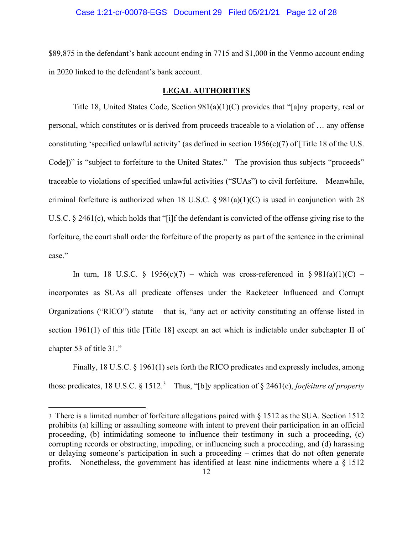### Case 1:21-cr-00078-EGS Document 29 Filed 05/21/21 Page 12 of 28

\$89,875 in the defendant's bank account ending in 7715 and \$1,000 in the Venmo account ending in 2020 linked to the defendant's bank account.

### **LEGAL AUTHORITIES**

Title 18, United States Code, Section 981(a)(1)(C) provides that "[a]ny property, real or personal, which constitutes or is derived from proceeds traceable to a violation of … any offense constituting 'specified unlawful activity' (as defined in section 1956(c)(7) of [Title 18 of the U.S. Code])" is "subject to forfeiture to the United States." The provision thus subjects "proceeds" traceable to violations of specified unlawful activities ("SUAs") to civil forfeiture. Meanwhile, criminal forfeiture is authorized when 18 U.S.C.  $\S 981(a)(1)(C)$  is used in conjunction with 28 U.S.C. § 2461(c), which holds that "[i]f the defendant is convicted of the offense giving rise to the forfeiture, the court shall order the forfeiture of the property as part of the sentence in the criminal case."

In turn, 18 U.S.C. § 1956(c)(7) – which was cross-referenced in § 981(a)(1)(C) – incorporates as SUAs all predicate offenses under the Racketeer Influenced and Corrupt Organizations ("RICO") statute – that is, "any act or activity constituting an offense listed in section 1961(1) of this title [Title 18] except an act which is indictable under subchapter II of chapter 53 of title 31."

Finally, 18 U.S.C. § 1961(1) sets forth the RICO predicates and expressly includes, among those predicates, 18 U.S.C. § 1512. [3](#page-11-0) Thus, "[b]y application of § 2461(c), *forfeiture of property* 

<span id="page-11-0"></span><sup>3</sup> There is a limited number of forfeiture allegations paired with § 1512 as the SUA. Section 1512 prohibits (a) killing or assaulting someone with intent to prevent their participation in an official proceeding, (b) intimidating someone to influence their testimony in such a proceeding, (c) corrupting records or obstructing, impeding, or influencing such a proceeding, and (d) harassing or delaying someone's participation in such a proceeding – crimes that do not often generate profits. Nonetheless, the government has identified at least nine indictments where a § 1512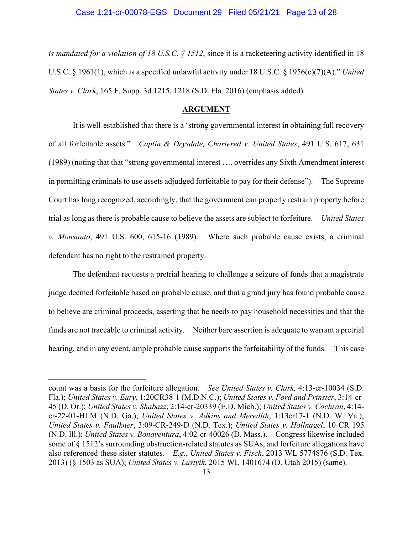*is mandated for a violation of 18 U.S.C. § 1512*, since it is a racketeering activity identified in 18 U.S.C. § 1961(1), which is a specified unlawful activity under 18 U.S.C. § 1956(c)(7)(A)." *United States v. Clark*, 165 F. Supp. 3d 1215, 1218 (S.D. Fla. 2016) (emphasis added)*.*

### **ARGUMENT**

It is well-established that there is a 'strong governmental interest in obtaining full recovery of all forfeitable assets." *Caplin & Drysdale, Chartered v. United States*, 491 U.S. 617, 631 (1989) (noting that that "strong governmental interest …. overrides any Sixth Amendment interest in permitting criminals to use assets adjudged forfeitable to pay for their defense"). The Supreme Court has long recognized, accordingly, that the government can properly restrain property before trial as long as there is probable cause to believe the assets are subject to forfeiture. *United States v. Monsanto*, 491 U.S. 600, 615-16 (1989). Where such probable cause exists, a criminal defendant has no right to the restrained property.

The defendant requests a pretrial hearing to challenge a seizure of funds that a magistrate judge deemed forfeitable based on probable cause, and that a grand jury has found probable cause to believe are criminal proceeds, asserting that he needs to pay household necessities and that the funds are not traceable to criminal activity. Neither bare assertion is adequate to warrant a pretrial hearing, and in any event, ample probable cause supports the forfeitability of the funds. This case

count was a basis for the forfeiture allegation. *See United States v. Clark,* 4:13-cr-10034 (S.D. Fla.); *United States v. Eury*, 1:20CR38-1 (M.D.N.C.); *United States v. Ford and Prinster*, 3:14-cr-45 (D. Or.); *United States v. Shabazz*, 2:14-cr-20339 (E.D. Mich.); *United States v. Cochran*, 4:14 cr-22-01-HLM (N.D. Ga.); *United States v. Adkins and Meredith*, 1:13cr17-1 (N.D. W. Va.); *United States v. Faulkner*, 3:09-CR-249-D (N.D. Tex.); *United States v. Hollnagel*, 10 CR 195 (N.D. Ill.); *United States v. Bonaventura*, 4:02-cr-40026 (D. Mass.). Congress likewise included some of § 1512's surrounding obstruction-related statutes as SUAs, and forfeiture allegations have also referenced these sister statutes. *E.g.*, *United States v. Fisch*, 2013 WL 5774876 (S.D. Tex. 2013) (§ 1503 as SUA); *United States v. Lustyik*, 2015 WL 1401674 (D. Utah 2015) (same).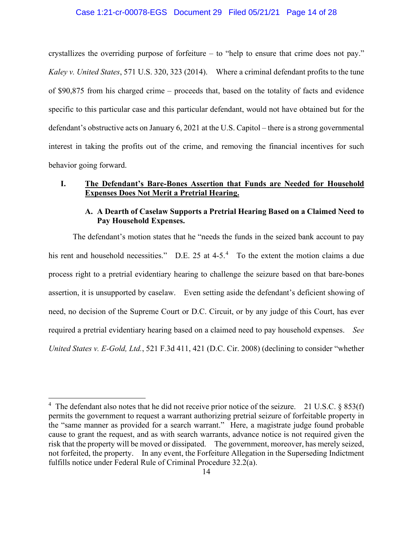### Case 1:21-cr-00078-EGS Document 29 Filed 05/21/21 Page 14 of 28

crystallizes the overriding purpose of forfeiture – to "help to ensure that crime does not pay." *Kaley v. United States*, 571 U.S. 320, 323 (2014). Where a criminal defendant profits to the tune of \$90,875 from his charged crime – proceeds that, based on the totality of facts and evidence specific to this particular case and this particular defendant, would not have obtained but for the defendant's obstructive acts on January 6, 2021 at the U.S. Capitol – there is a strong governmental interest in taking the profits out of the crime, and removing the financial incentives for such behavior going forward.

# **I. The Defendant's Bare-Bones Assertion that Funds are Needed for Household Expenses Does Not Merit a Pretrial Hearing.**

### **A. A Dearth of Caselaw Supports a Pretrial Hearing Based on a Claimed Need to Pay Household Expenses.**

The defendant's motion states that he "needs the funds in the seized bank account to pay his rent and household necessities." D.E. 25 at  $4-5.4$  $4-5.4$  To the extent the motion claims a due process right to a pretrial evidentiary hearing to challenge the seizure based on that bare-bones assertion, it is unsupported by caselaw. Even setting aside the defendant's deficient showing of need, no decision of the Supreme Court or D.C. Circuit, or by any judge of this Court, has ever required a pretrial evidentiary hearing based on a claimed need to pay household expenses. *See United States v. E-Gold, Ltd.*, 521 F.3d 411, 421 (D.C. Cir. 2008) (declining to consider "whether

<span id="page-13-0"></span><sup>&</sup>lt;sup>4</sup> The defendant also notes that he did not receive prior notice of the seizure. 21 U.S.C. § 853(f) permits the government to request a warrant authorizing pretrial seizure of forfeitable property in the "same manner as provided for a search warrant." Here, a magistrate judge found probable cause to grant the request, and as with search warrants, advance notice is not required given the risk that the property will be moved or dissipated. The government, moreover, has merely seized, not forfeited, the property. In any event, the Forfeiture Allegation in the Superseding Indictment fulfills notice under Federal Rule of Criminal Procedure 32.2(a).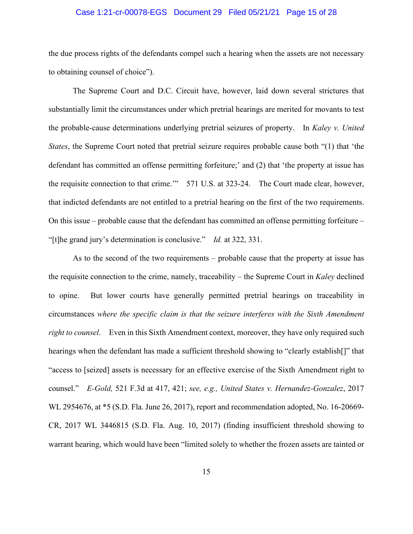### Case 1:21-cr-00078-EGS Document 29 Filed 05/21/21 Page 15 of 28

the due process rights of the defendants compel such a hearing when the assets are not necessary to obtaining counsel of choice").

The Supreme Court and D.C. Circuit have, however, laid down several strictures that substantially limit the circumstances under which pretrial hearings are merited for movants to test the probable-cause determinations underlying pretrial seizures of property. In *Kaley v. United States*, the Supreme Court noted that pretrial seizure requires probable cause both "(1) that 'the defendant has committed an offense permitting forfeiture;' and (2) that 'the property at issue has the requisite connection to that crime.'" 571 U.S. at 323-24. The Court made clear, however, that indicted defendants are not entitled to a pretrial hearing on the first of the two requirements. On this issue – probable cause that the defendant has committed an offense permitting forfeiture – "[t]he grand jury's determination is conclusive." *Id.* at 322, 331.

As to the second of the two requirements – probable cause that the property at issue has the requisite connection to the crime, namely, traceability – the Supreme Court in *Kaley* declined to opine. But lower courts have generally permitted pretrial hearings on traceability in circumstances *where the specific claim is that the seizure interferes with the Sixth Amendment right to counsel*. Even in this Sixth Amendment context, moreover, they have only required such hearings when the defendant has made a sufficient threshold showing to "clearly establish[]" that "access to [seized] assets is necessary for an effective exercise of the Sixth Amendment right to counsel." *E-Gold,* 521 F.3d at 417, 421; *see, e.g., United States v. Hernandez-Gonzalez*, 2017 WL 2954676, at \*5 (S.D. Fla. June 26, 2017), report and recommendation adopted, No. 16-20669- CR, 2017 WL 3446815 (S.D. Fla. Aug. 10, 2017) (finding insufficient threshold showing to warrant hearing, which would have been "limited solely to whether the frozen assets are tainted or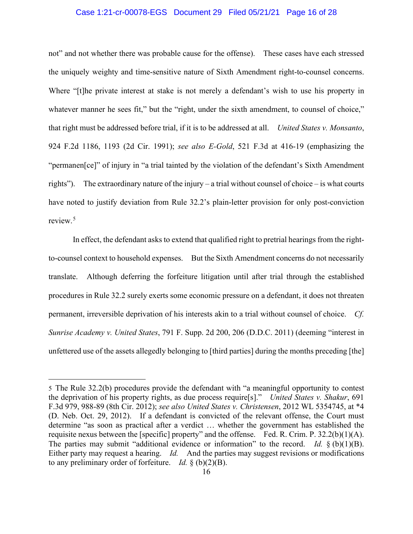### Case 1:21-cr-00078-EGS Document 29 Filed 05/21/21 Page 16 of 28

not" and not whether there was probable cause for the offense). These cases have each stressed the uniquely weighty and time-sensitive nature of Sixth Amendment right-to-counsel concerns. Where "[t]he private interest at stake is not merely a defendant's wish to use his property in whatever manner he sees fit," but the "right, under the sixth amendment, to counsel of choice," that right must be addressed before trial, if it is to be addressed at all. *United States v. Monsanto*, 924 F.2d 1186, 1193 (2d Cir. 1991); *see also E-Gold*, 521 F.3d at 416-19 (emphasizing the "permanen[ce]" of injury in "a trial tainted by the violation of the defendant's Sixth Amendment rights"). The extraordinary nature of the injury – a trial without counsel of choice – is what courts have noted to justify deviation from Rule 32.2's plain-letter provision for only post-conviction review.[5](#page-15-0)

In effect, the defendant asks to extend that qualified right to pretrial hearings from the rightto-counsel context to household expenses. But the Sixth Amendment concerns do not necessarily translate. Although deferring the forfeiture litigation until after trial through the established procedures in Rule 32.2 surely exerts some economic pressure on a defendant, it does not threaten permanent, irreversible deprivation of his interests akin to a trial without counsel of choice. *Cf. Sunrise Academy v. United States*, 791 F. Supp. 2d 200, 206 (D.D.C. 2011) (deeming "interest in unfettered use of the assets allegedly belonging to [third parties] during the months preceding [the]

<span id="page-15-0"></span><sup>5</sup> The Rule 32.2(b) procedures provide the defendant with "a meaningful opportunity to contest the deprivation of his property rights, as due process require[s]." *United States v. Shakur*, 691 F.3d 979, 988-89 (8th Cir. 2012); *see also United States v. Christensen*, 2012 WL 5354745, at \*4 (D. Neb. Oct. 29, 2012). If a defendant is convicted of the relevant offense, the Court must determine "as soon as practical after a verdict … whether the government has established the requisite nexus between the [specific] property" and the offense. Fed. R. Crim. P. 32.2(b)(1)(A). The parties may submit "additional evidence or information" to the record. *Id.*  $\S$  (b)(1)(B). Either party may request a hearing. *Id.* And the parties may suggest revisions or modifications to any preliminary order of forfeiture. *Id.* § (b)(2)(B).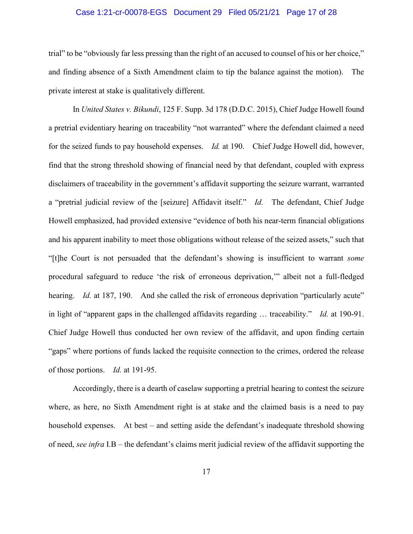### Case 1:21-cr-00078-EGS Document 29 Filed 05/21/21 Page 17 of 28

trial" to be "obviously far less pressing than the right of an accused to counsel of his or her choice," and finding absence of a Sixth Amendment claim to tip the balance against the motion). The private interest at stake is qualitatively different.

In *United States v. Bikundi*, 125 F. Supp. 3d 178 (D.D.C. 2015), Chief Judge Howell found a pretrial evidentiary hearing on traceability "not warranted" where the defendant claimed a need for the seized funds to pay household expenses. *Id.* at 190. Chief Judge Howell did, however, find that the strong threshold showing of financial need by that defendant, coupled with express disclaimers of traceability in the government's affidavit supporting the seizure warrant, warranted a "pretrial judicial review of the [seizure] Affidavit itself." *Id.* The defendant, Chief Judge Howell emphasized, had provided extensive "evidence of both his near-term financial obligations and his apparent inability to meet those obligations without release of the seized assets," such that "[t]he Court is not persuaded that the defendant's showing is insufficient to warrant *some* procedural safeguard to reduce 'the risk of erroneous deprivation,'" albeit not a full-fledged hearing. *Id.* at 187, 190. And she called the risk of erroneous deprivation "particularly acute" in light of "apparent gaps in the challenged affidavits regarding … traceability." *Id.* at 190-91. Chief Judge Howell thus conducted her own review of the affidavit, and upon finding certain "gaps" where portions of funds lacked the requisite connection to the crimes, ordered the release of those portions. *Id.* at 191-95.

Accordingly, there is a dearth of caselaw supporting a pretrial hearing to contest the seizure where, as here, no Sixth Amendment right is at stake and the claimed basis is a need to pay household expenses. At best – and setting aside the defendant's inadequate threshold showing of need, *see infra* I.B – the defendant's claims merit judicial review of the affidavit supporting the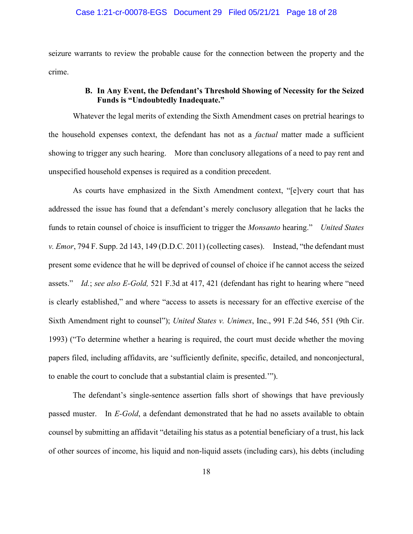### Case 1:21-cr-00078-EGS Document 29 Filed 05/21/21 Page 18 of 28

seizure warrants to review the probable cause for the connection between the property and the crime.

# **B. In Any Event, the Defendant's Threshold Showing of Necessity for the Seized Funds is "Undoubtedly Inadequate."**

Whatever the legal merits of extending the Sixth Amendment cases on pretrial hearings to the household expenses context, the defendant has not as a *factual* matter made a sufficient showing to trigger any such hearing. More than conclusory allegations of a need to pay rent and unspecified household expenses is required as a condition precedent.

As courts have emphasized in the Sixth Amendment context, "[e]very court that has addressed the issue has found that a defendant's merely conclusory allegation that he lacks the funds to retain counsel of choice is insufficient to trigger the *Monsanto* hearing." *United States v. Emor*, 794 F. Supp. 2d 143, 149 (D.D.C. 2011) (collecting cases). Instead, "the defendant must present some evidence that he will be deprived of counsel of choice if he cannot access the seized assets." *Id.*; *see also E-Gold,* 521 F.3d at 417, 421 (defendant has right to hearing where "need is clearly established," and where "access to assets is necessary for an effective exercise of the Sixth Amendment right to counsel"); *United States v. Unimex*, Inc., 991 F.2d 546, 551 (9th Cir. 1993) ("To determine whether a hearing is required, the court must decide whether the moving papers filed, including affidavits, are 'sufficiently definite, specific, detailed, and nonconjectural, to enable the court to conclude that a substantial claim is presented.'").

The defendant's single-sentence assertion falls short of showings that have previously passed muster. In *E-Gold*, a defendant demonstrated that he had no assets available to obtain counsel by submitting an affidavit "detailing his status as a potential beneficiary of a trust, his lack of other sources of income, his liquid and non-liquid assets (including cars), his debts (including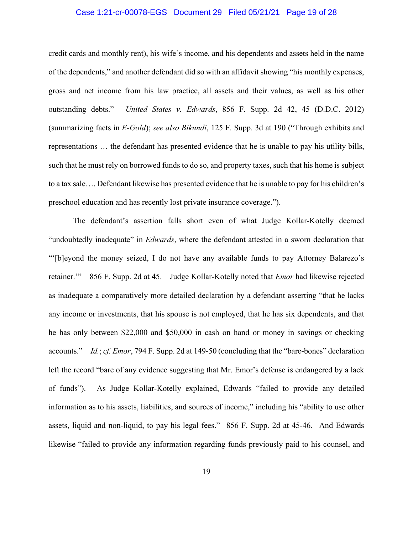### Case 1:21-cr-00078-EGS Document 29 Filed 05/21/21 Page 19 of 28

credit cards and monthly rent), his wife's income, and his dependents and assets held in the name of the dependents," and another defendant did so with an affidavit showing "his monthly expenses, gross and net income from his law practice, all assets and their values, as well as his other outstanding debts." *United States v. Edwards*, 856 F. Supp. 2d 42, 45 (D.D.C. 2012) (summarizing facts in *E-Gold*); *see also Bikundi*, 125 F. Supp. 3d at 190 ("Through exhibits and representations … the defendant has presented evidence that he is unable to pay his utility bills, such that he must rely on borrowed funds to do so, and property taxes, such that his home is subject to a tax sale…. Defendant likewise has presented evidence that he is unable to pay for his children's preschool education and has recently lost private insurance coverage.").

The defendant's assertion falls short even of what Judge Kollar-Kotelly deemed "undoubtedly inadequate" in *Edwards*, where the defendant attested in a sworn declaration that "'[b]eyond the money seized, I do not have any available funds to pay Attorney Balarezo's retainer.'" 856 F. Supp. 2d at 45. Judge Kollar-Kotelly noted that *Emor* had likewise rejected as inadequate a comparatively more detailed declaration by a defendant asserting "that he lacks any income or investments, that his spouse is not employed, that he has six dependents, and that he has only between \$22,000 and \$50,000 in cash on hand or money in savings or checking accounts." *Id.*; *cf. Emor*, 794 F. Supp. 2d at 149-50 (concluding that the "bare-bones" declaration left the record "bare of any evidence suggesting that Mr. Emor's defense is endangered by a lack of funds"). As Judge Kollar-Kotelly explained, Edwards "failed to provide any detailed information as to his assets, liabilities, and sources of income," including his "ability to use other assets, liquid and non-liquid, to pay his legal fees." 856 F. Supp. 2d at 45-46. And Edwards likewise "failed to provide any information regarding funds previously paid to his counsel, and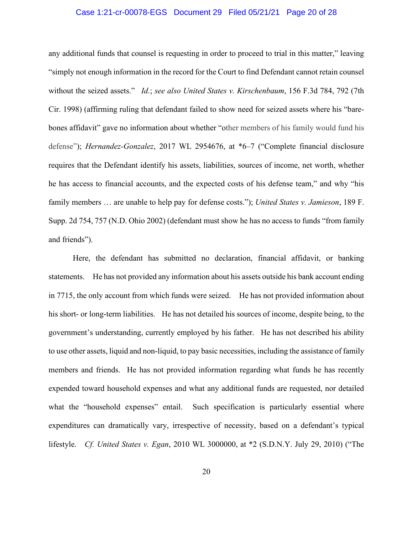### Case 1:21-cr-00078-EGS Document 29 Filed 05/21/21 Page 20 of 28

any additional funds that counsel is requesting in order to proceed to trial in this matter," leaving "simply not enough information in the record for the Court to find Defendant cannot retain counsel without the seized assets." *Id.*; *see also United States v. Kirschenbaum*, 156 F.3d 784, 792 (7th Cir. 1998) (affirming ruling that defendant failed to show need for seized assets where his "barebones affidavit" gave no information about whether "other members of his family would fund his defense"); *Hernandez-Gonzalez*, 2017 WL 2954676, at \*6–7 ("Complete financial disclosure requires that the Defendant identify his assets, liabilities, sources of income, net worth, whether he has access to financial accounts, and the expected costs of his defense team," and why "his family members … are unable to help pay for defense costs."); *United States v. Jamieson*, 189 F. Supp. 2d 754, 757 (N.D. Ohio 2002) (defendant must show he has no access to funds "from family and friends").

Here, the defendant has submitted no declaration, financial affidavit, or banking statements. He has not provided any information about his assets outside his bank account ending in 7715, the only account from which funds were seized. He has not provided information about his short- or long-term liabilities. He has not detailed his sources of income, despite being, to the government's understanding, currently employed by his father. He has not described his ability to use other assets, liquid and non-liquid, to pay basic necessities, including the assistance of family members and friends. He has not provided information regarding what funds he has recently expended toward household expenses and what any additional funds are requested, nor detailed what the "household expenses" entail. Such specification is particularly essential where expenditures can dramatically vary, irrespective of necessity, based on a defendant's typical lifestyle. *Cf. United States v. Egan*, 2010 WL 3000000, at \*2 (S.D.N.Y. July 29, 2010) ("The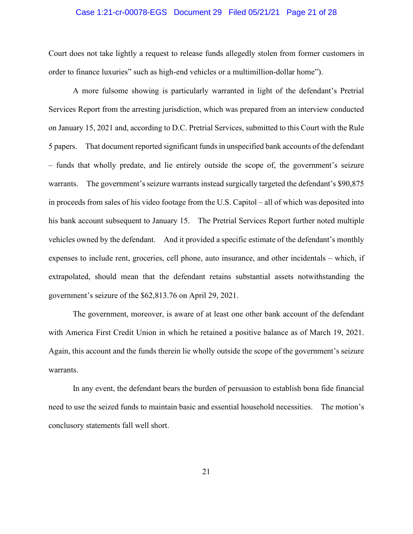### Case 1:21-cr-00078-EGS Document 29 Filed 05/21/21 Page 21 of 28

Court does not take lightly a request to release funds allegedly stolen from former customers in order to finance luxuries" such as high-end vehicles or a multimillion-dollar home").

A more fulsome showing is particularly warranted in light of the defendant's Pretrial Services Report from the arresting jurisdiction, which was prepared from an interview conducted on January 15, 2021 and, according to D.C. Pretrial Services, submitted to this Court with the Rule 5 papers. That document reported significant funds in unspecified bank accounts of the defendant – funds that wholly predate, and lie entirely outside the scope of, the government's seizure warrants. The government's seizure warrants instead surgically targeted the defendant's \$90,875 in proceeds from sales of his video footage from the U.S. Capitol – all of which was deposited into his bank account subsequent to January 15. The Pretrial Services Report further noted multiple vehicles owned by the defendant. And it provided a specific estimate of the defendant's monthly expenses to include rent, groceries, cell phone, auto insurance, and other incidentals – which, if extrapolated, should mean that the defendant retains substantial assets notwithstanding the government's seizure of the \$62,813.76 on April 29, 2021.

The government, moreover, is aware of at least one other bank account of the defendant with America First Credit Union in which he retained a positive balance as of March 19, 2021. Again, this account and the funds therein lie wholly outside the scope of the government's seizure warrants.

In any event, the defendant bears the burden of persuasion to establish bona fide financial need to use the seized funds to maintain basic and essential household necessities. The motion's conclusory statements fall well short.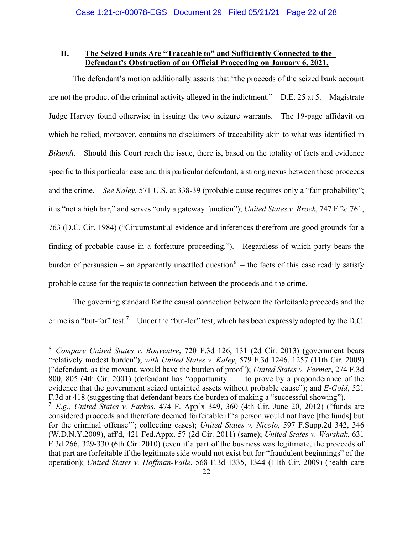# **II. The Seized Funds Are "Traceable to" and Sufficiently Connected to the Defendant's Obstruction of an Official Proceeding on January 6, 2021.**

The defendant's motion additionally asserts that "the proceeds of the seized bank account are not the product of the criminal activity alleged in the indictment." D.E. 25 at 5. Magistrate Judge Harvey found otherwise in issuing the two seizure warrants. The 19-page affidavit on which he relied, moreover, contains no disclaimers of traceability akin to what was identified in *Bikundi.* Should this Court reach the issue, there is, based on the totality of facts and evidence specific to this particular case and this particular defendant, a strong nexus between these proceeds and the crime. *See Kaley*, 571 U.S. at 338-39 (probable cause requires only a "fair probability"; it is "not a high bar," and serves "only a gateway function"); *United States v. Brock*, 747 F.2d 761, 763 (D.C. Cir. 1984) ("Circumstantial evidence and inferences therefrom are good grounds for a finding of probable cause in a forfeiture proceeding."). Regardless of which party bears the burden of persuasion – an apparently unsettled question<sup>[6](#page-21-0)</sup> – the facts of this case readily satisfy probable cause for the requisite connection between the proceeds and the crime.

The governing standard for the causal connection between the forfeitable proceeds and the crime is a "but-for" test.<sup>[7](#page-21-1)</sup> Under the "but-for" test, which has been expressly adopted by the D.C.

<span id="page-21-0"></span><sup>6</sup> *Compare United States v. Bonventre*, 720 F.3d 126, 131 (2d Cir. 2013) (government bears "relatively modest burden"); *with United States v. Kaley*, 579 F.3d 1246, 1257 (11th Cir. 2009) ("defendant, as the movant, would have the burden of proof"); *United States v. Farmer*, 274 F.3d 800, 805 (4th Cir. 2001) (defendant has "opportunity . . . to prove by a preponderance of the evidence that the government seized untainted assets without probable cause"); and *E-Gold*, 521 F.3d at 418 (suggesting that defendant bears the burden of making a "successful showing").

<span id="page-21-1"></span><sup>7</sup> *E.g., United States v. Farkas*, 474 F. App'x 349, 360 (4th Cir. June 20, 2012) ("funds are considered proceeds and therefore deemed forfeitable if 'a person would not have [the funds] but for the criminal offense'"; collecting cases); *United States v. Nicolo*, 597 F.Supp.2d 342, 346 (W.D.N.Y.2009), aff'd, 421 Fed.Appx. 57 (2d Cir. 2011) (same); *United States v. Warshak*, 631 F.3d 266, 329-330 (6th Cir. 2010) (even if a part of the business was legitimate, the proceeds of that part are forfeitable if the legitimate side would not exist but for "fraudulent beginnings" of the operation); *United States v. Hoffman-Vaile*, 568 F.3d 1335, 1344 (11th Cir. 2009) (health care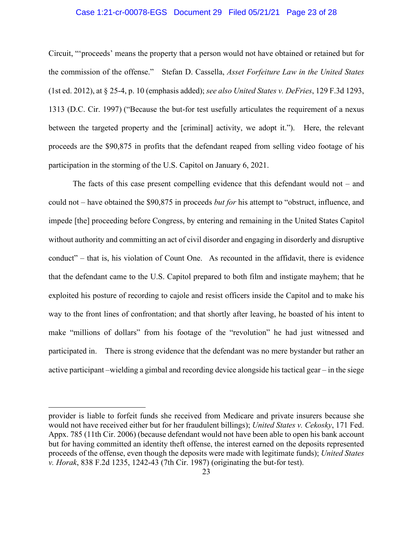### Case 1:21-cr-00078-EGS Document 29 Filed 05/21/21 Page 23 of 28

Circuit, "'proceeds' means the property that a person would not have obtained or retained but for the commission of the offense." Stefan D. Cassella, *Asset Forfeiture Law in the United States* (1st ed. 2012), at § 25-4, p. 10 (emphasis added); *see also United States v. DeFries*, 129 F.3d 1293, 1313 (D.C. Cir. 1997) ("Because the but-for test usefully articulates the requirement of a nexus between the targeted property and the [criminal] activity, we adopt it."). Here, the relevant proceeds are the \$90,875 in profits that the defendant reaped from selling video footage of his participation in the storming of the U.S. Capitol on January 6, 2021.

The facts of this case present compelling evidence that this defendant would not – and could not – have obtained the \$90,875 in proceeds *but for* his attempt to "obstruct, influence, and impede [the] proceeding before Congress, by entering and remaining in the United States Capitol without authority and committing an act of civil disorder and engaging in disorderly and disruptive conduct" – that is, his violation of Count One. As recounted in the affidavit, there is evidence that the defendant came to the U.S. Capitol prepared to both film and instigate mayhem; that he exploited his posture of recording to cajole and resist officers inside the Capitol and to make his way to the front lines of confrontation; and that shortly after leaving, he boasted of his intent to make "millions of dollars" from his footage of the "revolution" he had just witnessed and participated in. There is strong evidence that the defendant was no mere bystander but rather an active participant –wielding a gimbal and recording device alongside his tactical gear – in the siege

provider is liable to forfeit funds she received from Medicare and private insurers because she would not have received either but for her fraudulent billings); *United States v. Cekosky*, 171 Fed. Appx. 785 (11th Cir. 2006) (because defendant would not have been able to open his bank account but for having committed an identity theft offense, the interest earned on the deposits represented proceeds of the offense, even though the deposits were made with legitimate funds); *United States v. Horak*, 838 F.2d 1235, 1242-43 (7th Cir. 1987) (originating the but-for test).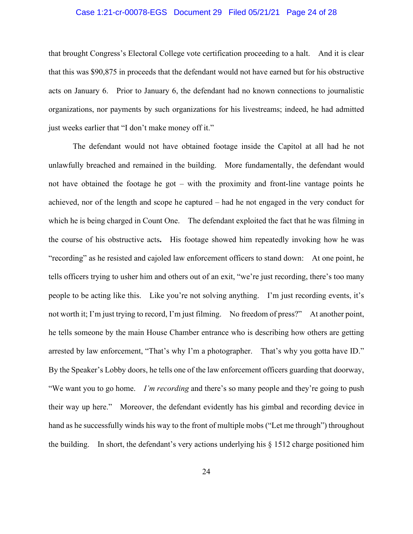### Case 1:21-cr-00078-EGS Document 29 Filed 05/21/21 Page 24 of 28

that brought Congress's Electoral College vote certification proceeding to a halt. And it is clear that this was \$90,875 in proceeds that the defendant would not have earned but for his obstructive acts on January 6. Prior to January 6, the defendant had no known connections to journalistic organizations, nor payments by such organizations for his livestreams; indeed, he had admitted just weeks earlier that "I don't make money off it."

The defendant would not have obtained footage inside the Capitol at all had he not unlawfully breached and remained in the building. More fundamentally, the defendant would not have obtained the footage he got – with the proximity and front-line vantage points he achieved, nor of the length and scope he captured – had he not engaged in the very conduct for which he is being charged in Count One. The defendant exploited the fact that he was filming in the course of his obstructive acts**.** His footage showed him repeatedly invoking how he was "recording" as he resisted and cajoled law enforcement officers to stand down: At one point, he tells officers trying to usher him and others out of an exit, "we're just recording, there's too many people to be acting like this. Like you're not solving anything. I'm just recording events, it's not worth it; I'm just trying to record, I'm just filming. No freedom of press?" At another point, he tells someone by the main House Chamber entrance who is describing how others are getting arrested by law enforcement, "That's why I'm a photographer. That's why you gotta have ID." By the Speaker's Lobby doors, he tells one of the law enforcement officers guarding that doorway, "We want you to go home. *I'm recording* and there's so many people and they're going to push their way up here." Moreover, the defendant evidently has his gimbal and recording device in hand as he successfully winds his way to the front of multiple mobs ("Let me through") throughout the building. In short, the defendant's very actions underlying his § 1512 charge positioned him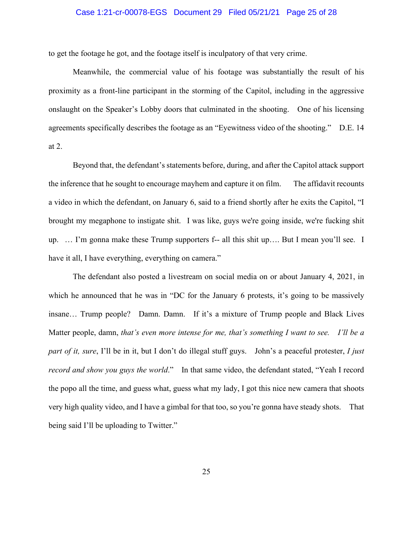### Case 1:21-cr-00078-EGS Document 29 Filed 05/21/21 Page 25 of 28

to get the footage he got, and the footage itself is inculpatory of that very crime.

Meanwhile, the commercial value of his footage was substantially the result of his proximity as a front-line participant in the storming of the Capitol, including in the aggressive onslaught on the Speaker's Lobby doors that culminated in the shooting. One of his licensing agreements specifically describes the footage as an "Eyewitness video of the shooting." D.E. 14 at 2.

Beyond that, the defendant's statements before, during, and after the Capitol attack support the inference that he sought to encourage mayhem and capture it on film. The affidavit recounts a video in which the defendant, on January 6, said to a friend shortly after he exits the Capitol, "I brought my megaphone to instigate shit. I was like, guys we're going inside, we're fucking shit up. … I'm gonna make these Trump supporters f-- all this shit up…. But I mean you'll see. I have it all, I have everything, everything on camera."

The defendant also posted a livestream on social media on or about January 4, 2021, in which he announced that he was in "DC for the January 6 protests, it's going to be massively insane… Trump people? Damn. Damn. If it's a mixture of Trump people and Black Lives Matter people, damn, *that's even more intense for me, that's something I want to see. I'll be a part of it, sure*, I'll be in it, but I don't do illegal stuff guys. John's a peaceful protester, *I just record and show you guys the world*." In that same video, the defendant stated, "Yeah I record the popo all the time, and guess what, guess what my lady, I got this nice new camera that shoots very high quality video, and I have a gimbal for that too, so you're gonna have steady shots. That being said I'll be uploading to Twitter."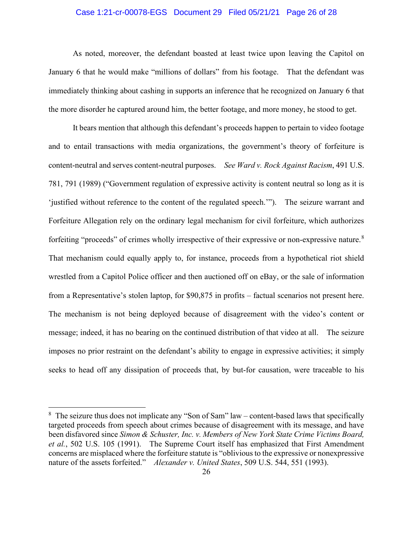### Case 1:21-cr-00078-EGS Document 29 Filed 05/21/21 Page 26 of 28

As noted, moreover, the defendant boasted at least twice upon leaving the Capitol on January 6 that he would make "millions of dollars" from his footage. That the defendant was immediately thinking about cashing in supports an inference that he recognized on January 6 that the more disorder he captured around him, the better footage, and more money, he stood to get.

It bears mention that although this defendant's proceeds happen to pertain to video footage and to entail transactions with media organizations, the government's theory of forfeiture is content-neutral and serves content-neutral purposes. *See Ward v. Rock Against Racism*, 491 U.S. 781, 791 (1989) ("Government regulation of expressive activity is content neutral so long as it is 'justified without reference to the content of the regulated speech.'"). The seizure warrant and Forfeiture Allegation rely on the ordinary legal mechanism for civil forfeiture, which authorizes forfeiting "proceeds" of crimes wholly irrespective of their expressive or non-expressive nature.<sup>[8](#page-25-0)</sup> That mechanism could equally apply to, for instance, proceeds from a hypothetical riot shield wrestled from a Capitol Police officer and then auctioned off on eBay, or the sale of information from a Representative's stolen laptop, for \$90,875 in profits – factual scenarios not present here. The mechanism is not being deployed because of disagreement with the video's content or message; indeed, it has no bearing on the continued distribution of that video at all. The seizure imposes no prior restraint on the defendant's ability to engage in expressive activities; it simply seeks to head off any dissipation of proceeds that, by but-for causation, were traceable to his

<span id="page-25-0"></span><sup>&</sup>lt;sup>8</sup> The seizure thus does not implicate any "Son of Sam" law – content-based laws that specifically targeted proceeds from speech about crimes because of disagreement with its message, and have been disfavored since *Simon & Schuster, Inc. v. Members of New York State Crime Victims Board, et al.*, 502 U.S. 105 (1991). The Supreme Court itself has emphasized that First Amendment concerns are misplaced where the forfeiture statute is "oblivious to the expressive or nonexpressive nature of the assets forfeited." *Alexander v. United States*, 509 U.S. 544, 551 (1993).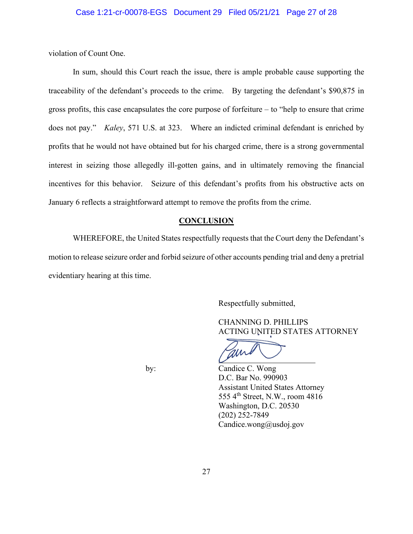violation of Count One.

In sum, should this Court reach the issue, there is ample probable cause supporting the traceability of the defendant's proceeds to the crime. By targeting the defendant's \$90,875 in gross profits, this case encapsulates the core purpose of forfeiture – to "help to ensure that crime does not pay." *Kaley*, 571 U.S. at 323. Where an indicted criminal defendant is enriched by profits that he would not have obtained but for his charged crime, there is a strong governmental interest in seizing those allegedly ill-gotten gains, and in ultimately removing the financial incentives for this behavior. Seizure of this defendant's profits from his obstructive acts on January 6 reflects a straightforward attempt to remove the profits from the crime.

### **CONCLUSION**

WHEREFORE, the United States respectfully requests that the Court deny the Defendant's motion to release seizure order and forbid seizure of other accounts pending trial and deny a pretrial evidentiary hearing at this time.

Respectfully submitted,

 CHANNING D. PHILLIPS ACTING UNITED STATES ATTORNEY

 by: Candice C. Wong D.C. Bar No. 990903 Assistant United States Attorney 555 4th Street, N.W., room 4816 Washington, D.C. 20530 (202) 252-7849 Candice.wong@usdoj.gov